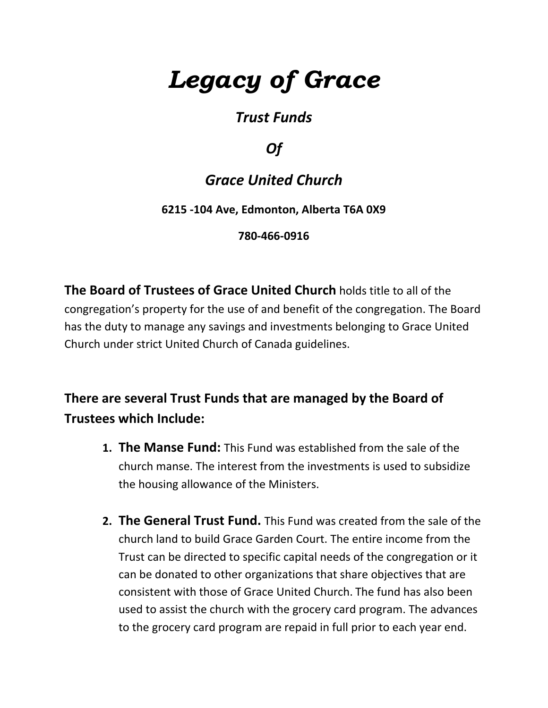# *Legacy of Grace*

## *Trust Funds*

# *Of*

# *Grace United Church*

#### **6215 -104 Ave, Edmonton, Alberta T6A 0X9**

#### **780-466-0916**

**The Board of Trustees of Grace United Church** holds title to all of the congregation's property for the use of and benefit of the congregation. The Board has the duty to manage any savings and investments belonging to Grace United Church under strict United Church of Canada guidelines.

## **There are several Trust Funds that are managed by the Board of Trustees which Include:**

- **1. The Manse Fund:** This Fund was established from the sale of the church manse. The interest from the investments is used to subsidize the housing allowance of the Ministers.
- **2. The General Trust Fund.** This Fund was created from the sale of the church land to build Grace Garden Court. The entire income from the Trust can be directed to specific capital needs of the congregation or it can be donated to other organizations that share objectives that are consistent with those of Grace United Church. The fund has also been used to assist the church with the grocery card program. The advances to the grocery card program are repaid in full prior to each year end.